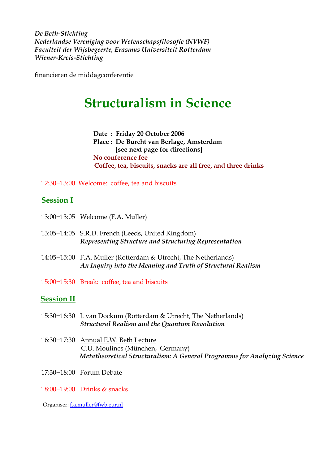*De Beth-Stichting Nederlandse Vereniging voor Wetenschapsfilosofie (NVWF) Faculteit der Wijsbegeerte, Erasmus Universiteit Rotterdam Wiener-Kreis-Stichting* 

financieren de middagconferentie

## **Structuralism in Science**

 **Date : Friday 20 October 2006 Place : De Burcht van Berlage, Amsterdam [see next page for directions] No conference fee Coffee, tea, biscuits, snacks are all free, and three drinks** 

12:30−13:00 Welcome: coffee, tea and biscuits

## **Session I**

- 13:00−13:05 Welcome (F.A. Muller)
- 13:05−14:05 S.R.D. French (Leeds, United Kingdom) *Representing Structure and Structuring Representation*
- 14:05−15:00 F.A. Muller (Rotterdam & Utrecht, The Netherlands) *An Inquiry into the Meaning and Truth of Structural Realism*
- 15:00−15:30 Break: coffee, tea and biscuits

## **Session II**

- 15:30−16:30 J. van Dockum (Rotterdam & Utrecht, The Netherlands) *Structural Realism and the Quantum Revolution*
- 16:30−17:30 Annual E.W. Beth Lecture C.U. Moulines (München, Germany) *Metatheoretical Structuralism: A General Programme for Analyzing Science*
- 17:30−18:00 Forum Debate
- 18:00−19:00 Drinks & snacks

Organiser: [f.a.muller@fwb.eur.nl](mailto:f.a.muller@fwb.eur.nl)